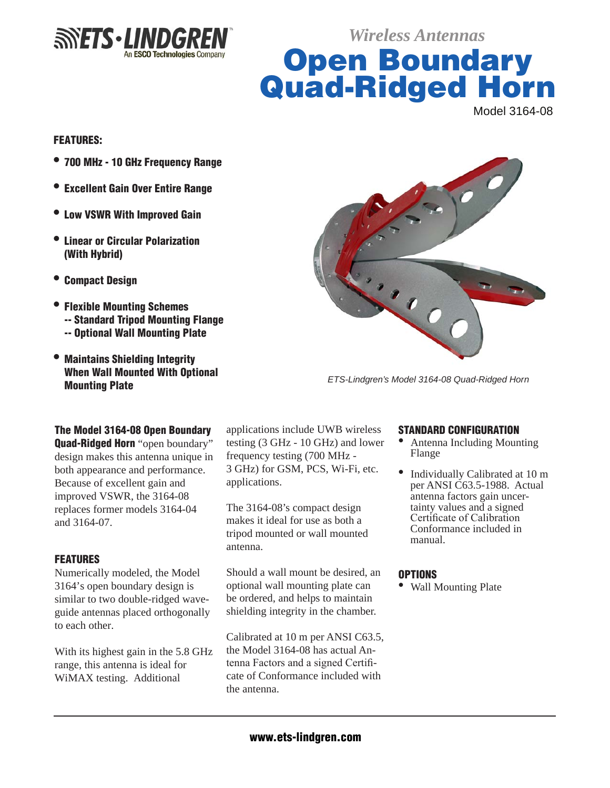

*Wireless Antennas*

**Open Boundary** Quad-Ridged Horn Model 3164-08

## **FEATURES:**

- 700 MHz 10 GHz Frequency Range
- Excellent Gain Over Entire Range
- $\bullet$  Low VSWR With Improved Gain
- l Linear or Circular Polarization (With Hybrid)
- **Compact Design**
- Flexible Mounting Schemes -- Standard Tripod Mounting Flange -- Optional Wall Mounting Plate
- l Maintains Shielding Integrity When Wall Mounted With Optional Mounting Plate



*ETS-Lindgren's Model 3164-08 Quad-Ridged Horn*

## The Model 3164-08 Open Boundary

**Quad-Ridged Horn** "open boundary" design makes this antenna unique in both appearance and performance. Because of excellent gain and improved VSWR, the 3164-08 replaces former models 3164-04 and 3164-07.

## **FEATURES**

Numerically modeled, the Model 3164's open boundary design is similar to two double-ridged waveguide antennas placed orthogonally to each other.

With its highest gain in the 5.8 GHz range, this antenna is ideal for WiMAX testing. Additional

applications include UWB wireless testing (3 GHz - 10 GHz) and lower frequency testing (700 MHz - 3 GHz) for GSM, PCS, Wi-Fi, etc. applications.

The 3164-08's compact design makes it ideal for use as both a tripod mounted or wall mounted antenna.

Should a wall mount be desired, an optional wall mounting plate can be ordered, and helps to maintain shielding integrity in the chamber.

Calibrated at 10 m per ANSI C63.5, the Model 3164-08 has actual Antenna Factors and a signed Certificate of Conformance included with the antenna.

#### Standard Configuration

- Antenna Including Mounting Flange
- <sup>l</sup>Individually Calibrated at 10 m per ANSI C63.5-1988. Actual<br>antenna factors gain uncertainty values and a signed<br>Certificate of Calibration Conformance included in manual.

#### **OPTIONS**

• Wall Mounting Plate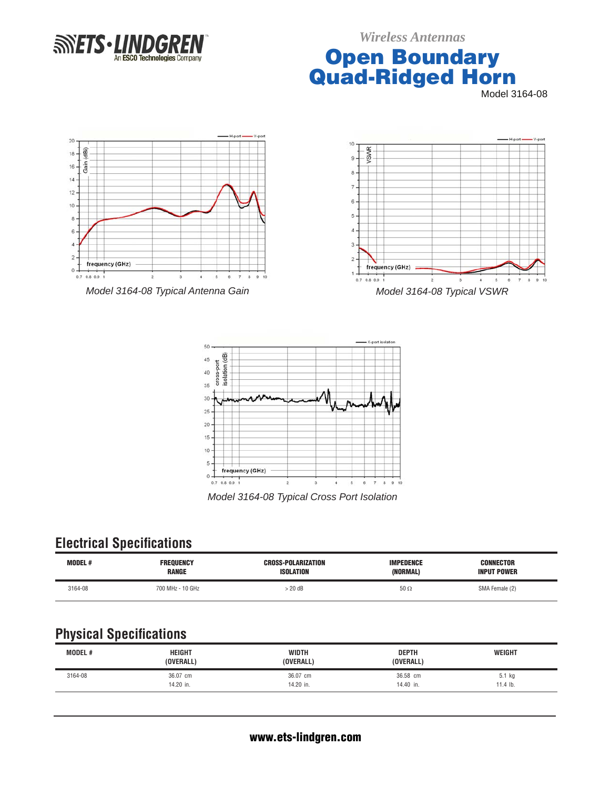

*Wireless Antennas*

# **Open Boundary** Quad-Ridged Horn

Model 3164-08





*Model 3164-08 Typical Cross Port Isolation*

## **Electrical Specifications**

| <b>MODEL#</b> | <b>FREQUENCY</b> | <b>CROSS-POLARIZATION</b> | <b>IMPEDENCE</b> | <b>CONNECTOR</b>   |
|---------------|------------------|---------------------------|------------------|--------------------|
|               | <b>RANGE</b>     | <b>ISOLATION</b>          | (NORMAL)         | <b>INPUT POWER</b> |
| 3164-08       | 700 MHz - 10 GHz | 20dB                      | $50 \Omega$      | SMA Female (2)     |

# **Physical Specifications**

| <b>MODEL#</b> | <b>HEIGHT</b><br>(OVERALL) | <b>WIDTH</b><br>(OVERALL) | <b>DEPTH</b><br>(OVERALL) | <b>WEIGHT</b> |
|---------------|----------------------------|---------------------------|---------------------------|---------------|
| 3164-08       | 36.07 cm                   | 36.07 cm                  | 36.58 cm                  | 5.1 kg        |
|               | 14.20 in.                  | 14.20 in.                 | 14.40 in.                 | $11.4$ lb.    |
|               |                            |                           |                           |               |